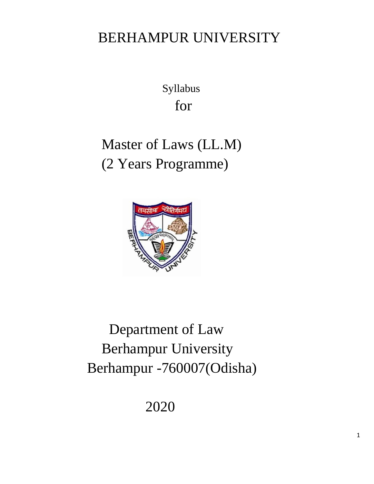# BERHAMPUR UNIVERSITY

 Syllabus for

# Master of Laws (LL.M) (2 Years Programme)



 Department of Law Berhampur University Berhampur -760007(Odisha)

2020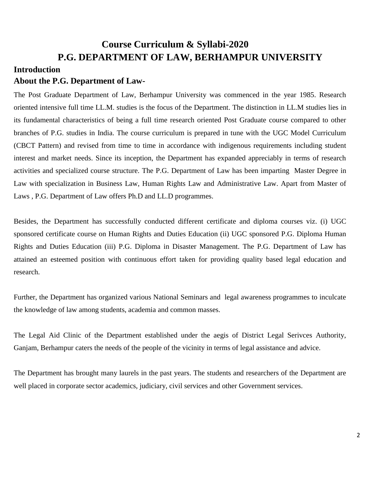# **Course Curriculum & Syllabi-2020 P.G. DEPARTMENT OF LAW, BERHAMPUR UNIVERSITY**

# **Introduction**

# **About the P.G. Department of Law-**

The Post Graduate Department of Law, Berhampur University was commenced in the year 1985. Research oriented intensive full time LL.M. studies is the focus of the Department. The distinction in LL.M studies lies in its fundamental characteristics of being a full time research oriented Post Graduate course compared to other branches of P.G. studies in India. The course curriculum is prepared in tune with the UGC Model Curriculum (CBCT Pattern) and revised from time to time in accordance with indigenous requirements including student interest and market needs. Since its inception, the Department has expanded appreciably in terms of research activities and specialized course structure. The P.G. Department of Law has been imparting Master Degree in Law with specialization in Business Law, Human Rights Law and Administrative Law. Apart from Master of Laws , P.G. Department of Law offers Ph.D and LL.D programmes.

Besides, the Department has successfully conducted different certificate and diploma courses viz. (i) UGC sponsored certificate course on Human Rights and Duties Education (ii) UGC sponsored P.G. Diploma Human Rights and Duties Education (iii) P.G. Diploma in Disaster Management. The P.G. Department of Law has attained an esteemed position with continuous effort taken for providing quality based legal education and research.

Further, the Department has organized various National Seminars and legal awareness programmes to inculcate the knowledge of law among students, academia and common masses.

The Legal Aid Clinic of the Department established under the aegis of District Legal Serivces Authority, Ganjam, Berhampur caters the needs of the people of the vicinity in terms of legal assistance and advice.

The Department has brought many laurels in the past years. The students and researchers of the Department are well placed in corporate sector academics, judiciary, civil services and other Government services.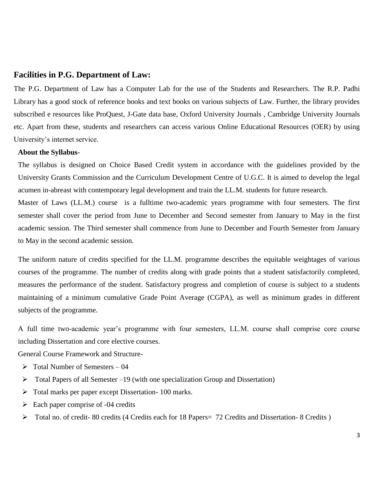## **Facilities in P.G. Department of Law:**

The P.G. Department of Law has a Computer Lab for the use of the Students and Researchers. The R.P. Padhi Library has a good stock of reference books and text books on various subjects of Law. Further, the library provides subscribed e resources like ProQuest, J-Gate data base, Oxford University Journals , Cambridge University Journals etc. Apart from these, students and researchers can access various Online Educational Resources (OER) by using University's internet service.

### **About the Syllabus-**

The syllabus is designed on Choice Based Credit system in accordance with the guidelines provided by the University Grants Commission and the Curriculum Development Centre of U.G.C. It is aimed to develop the legal acumen in-abreast with contemporary legal development and train the LL.M. students for future research.

Master of Laws (LL.M.) course is a fulltime two-academic years programme with four semesters. The first semester shall cover the period from June to December and Second semester from January to May in the first academic session. The Third semester shall commence from June to December and Fourth Semester from January to May in the second academic session.

The uniform nature of credits specified for the LL.M. programme describes the equitable weightages of various courses of the programme. The number of credits along with grade points that a student satisfactorily completed, measures the performance of the student. Satisfactory progress and completion of course is subject to a students maintaining of a minimum cumulative Grade Point Average (CGPA), as well as minimum grades in different subjects of the programme.

A full time two-academic year's programme with four semesters, LL.M. course shall comprise core course including Dissertation and core elective courses.

General Course Framework and Structure-

- $\triangleright$  Total Number of Semesters 04
- $\triangleright$  Total Papers of all Semester –19 (with one specialization Group and Dissertation)
- Total marks per paper except Dissertation- 100 marks.
- $\triangleright$  Each paper comprise of -04 credits
- $\triangleright$  Total no. of credit- 80 credits (4 Credits each for 18 Papers = 72 Credits and Dissertation- 8 Credits )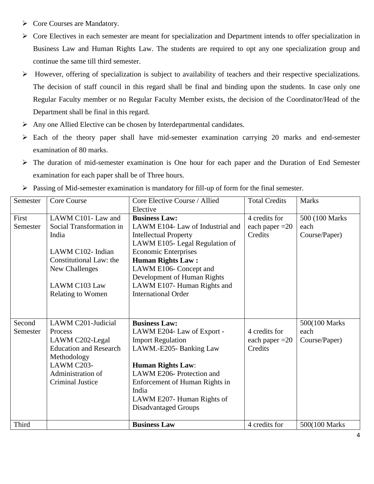- ▶ Core Courses are Mandatory.
- $\triangleright$  Core Electives in each semester are meant for specialization and Department intends to offer specialization in Business Law and Human Rights Law. The students are required to opt any one specialization group and continue the same till third semester.
- However, offering of specialization is subject to availability of teachers and their respective specializations. The decision of staff council in this regard shall be final and binding upon the students. In case only one Regular Faculty member or no Regular Faculty Member exists, the decision of the Coordinator/Head of the Department shall be final in this regard.
- $\triangleright$  Any one Allied Elective can be chosen by Interdepartmental candidates.
- $\triangleright$  Each of the theory paper shall have mid-semester examination carrying 20 marks and end-semester examination of 80 marks.
- The duration of mid-semester examination is One hour for each paper and the Duration of End Semester examination for each paper shall be of Three hours.

| Semester | Core Course                   | Core Elective Course / Allied    | <b>Total Credits</b> | <b>Marks</b>    |
|----------|-------------------------------|----------------------------------|----------------------|-----------------|
|          |                               | Elective                         |                      |                 |
| First    | LAWM C101- Law and            | <b>Business Law:</b>             | 4 credits for        | 500 (100 Marks) |
| Semester | Social Transformation in      | LAWM E104- Law of Industrial and | each paper $=20$     | each            |
|          | India                         | <b>Intellectual Property</b>     | Credits              | Course/Paper)   |
|          |                               | LAWM E105- Legal Regulation of   |                      |                 |
|          | LAWM C102- Indian             | <b>Economic Enterprises</b>      |                      |                 |
|          | Constitutional Law: the       | <b>Human Rights Law:</b>         |                      |                 |
|          | New Challenges                | LAWM E106- Concept and           |                      |                 |
|          |                               | Development of Human Rights      |                      |                 |
|          | LAWM C103 Law                 | LAWM E107- Human Rights and      |                      |                 |
|          | <b>Relating to Women</b>      | <b>International Order</b>       |                      |                 |
|          |                               |                                  |                      |                 |
|          |                               |                                  |                      |                 |
| Second   | LAWM C201-Judicial            | <b>Business Law:</b>             |                      | 500(100 Marks   |
| Semester | Process                       | LAWM E204- Law of Export -       | 4 credits for        | each            |
|          | LAWM C202-Legal               | <b>Import Regulation</b>         | each paper $=20$     | Course/Paper)   |
|          | <b>Education and Research</b> | LAWM.-E205- Banking Law          | Credits              |                 |
|          | Methodology                   |                                  |                      |                 |
|          | LAWM C203-                    | <b>Human Rights Law:</b>         |                      |                 |
|          | Administration of             | LAWM E206- Protection and        |                      |                 |
|          | <b>Criminal Justice</b>       | Enforcement of Human Rights in   |                      |                 |
|          |                               | India                            |                      |                 |
|          |                               | LAWM E207- Human Rights of       |                      |                 |
|          |                               | <b>Disadvantaged Groups</b>      |                      |                 |
|          |                               |                                  |                      |                 |
| Third    |                               | <b>Business Law</b>              | 4 credits for        | 500(100 Marks   |

Passing of Mid-semester examination is mandatory for fill-up of form for the final semester.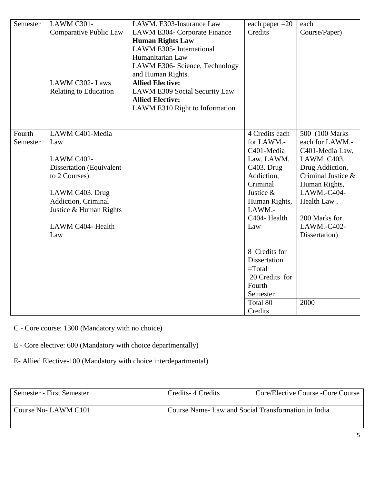| Semester | LAWM C301-                      | LAWM. E303-Insurance Law       | each paper $=20$        | each               |
|----------|---------------------------------|--------------------------------|-------------------------|--------------------|
|          | Comparative Public Law          | LAWM E304- Corporate Finance   | Credits                 | Course/Paper)      |
|          |                                 | <b>Human Rights Law</b>        |                         |                    |
|          |                                 | LAWM E305- International       |                         |                    |
|          |                                 | Humanitarian Law               |                         |                    |
|          |                                 | LAWM E306- Science, Technology |                         |                    |
|          |                                 | and Human Rights.              |                         |                    |
|          | LAWM C302-Laws                  | <b>Allied Elective:</b>        |                         |                    |
|          | <b>Relating to Education</b>    | LAWM E309 Social Security Law  |                         |                    |
|          |                                 | <b>Allied Elective:</b>        |                         |                    |
|          |                                 | LAWM E310 Right to Information |                         |                    |
|          |                                 |                                |                         |                    |
|          |                                 |                                |                         |                    |
| Fourth   | LAWM C401-Media                 |                                | 4 Credits each          | 500 (100 Marks)    |
| Semester | Law                             |                                | for LAWM.-              | each for LAWM.-    |
|          |                                 |                                | C401-Media              | C401-Media Law,    |
|          | LAWM C402-                      |                                | Law, LAWM.              | LAWM. C403.        |
|          | <b>Dissertation</b> (Equivalent |                                | C403. Drug              | Drug Addiction,    |
|          | to 2 Courses)                   |                                | Addiction,              | Criminal Justice & |
|          |                                 |                                | Criminal                | Human Rights,      |
|          | LAWM C403. Drug                 |                                | Justice &               | LAWM.-C404-        |
|          | Addiction, Criminal             |                                | Human Rights,<br>LAWM.- | Health Law.        |
|          | Justice & Human Rights          |                                | C404-Health             | 200 Marks for      |
|          | LAWM C404- Health               |                                | Law                     | LAWM.-C402-        |
|          | Law                             |                                |                         | Dissertation)      |
|          |                                 |                                |                         |                    |
|          |                                 |                                | 8 Credits for           |                    |
|          |                                 |                                | Dissertation            |                    |
|          |                                 |                                | $=$ Total               |                    |
|          |                                 |                                | 20 Credits for          |                    |
|          |                                 |                                | Fourth                  |                    |
|          |                                 |                                | Semester                |                    |
|          |                                 |                                | Total 80                | 2000               |
|          |                                 |                                | Credits                 |                    |

- C Core course: 1300 (Mandatory with no choice)
- E Core elective: 600 (Mandatory with choice departmentally)
- E- Allied Elective-100 (Mandatory with choice interdepartmental)

| Semester - First Semester | Credits 4 Credits                                  | Core/Elective Course - Core Course |
|---------------------------|----------------------------------------------------|------------------------------------|
| Course No-LAWM C101       | Course Name-Law and Social Transformation in India |                                    |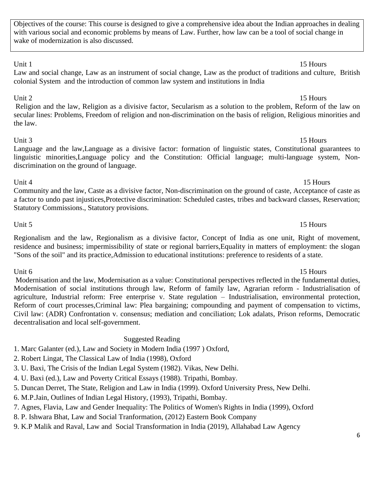Objectives of the course: This course is designed to give a comprehensive idea about the Indian approaches in dealing with various social and economic problems by means of Law. Further, how law can be a tool of social change in wake of modernization is also discussed.

Unit 1 15 Hours Law and social change, Law as an instrument of social change, Law as the product of traditions and culture, British colonial System and the introduction of common law system and institutions in India

Unit 2 15 Hours Religion and the law, Religion as a divisive factor, Secularism as a solution to the problem, Reform of the law on secular lines: Problems, Freedom of religion and non-discrimination on the basis of religion, Religious minorities and the law.

Unit 3 15 Hours Language and the law,Language as a divisive factor: formation of linguistic states, Constitutional guarantees to linguistic minorities,Language policy and the Constitution: Official language; multi-language system, Nondiscrimination on the ground of language.

Unit 4 15 Hours Community and the law, Caste as a divisive factor, Non-discrimination on the ground of caste, Acceptance of caste as a factor to undo past injustices,Protective discrimination: Scheduled castes, tribes and backward classes, Reservation; Statutory Commissions., Statutory provisions.

Regionalism and the law, Regionalism as a divisive factor, Concept of India as one unit, Right of movement, residence and business; impermissibility of state or regional barriers,Equality in matters of employment: the slogan "Sons of the soil" and its practice,Admission to educational institutions: preference to residents of a state.

Unit 6 15 Hours Modernisation and the law, Modernisation as a value: Constitutional perspectives reflected in the fundamental duties, Modernisation of social institutions through law, Reform of family law, Agrarian reform - Industrialisation of agriculture, Industrial reform: Free enterprise v. State regulation – Industrialisation, environmental protection, Reform of court processes,Criminal law: Plea bargaining; compounding and payment of compensation to victims, Civil law: (ADR) Confrontation v. consensus; mediation and conciliation; Lok adalats, Prison reforms, Democratic decentralisation and local self-government.

Suggested Reading 1. Marc Galanter (ed.), Law and Society in Modern India (1997 ) Oxford,

2. Robert Lingat, The Classical Law of India (1998), Oxford

3. U. Baxi, The Crisis of the Indian Legal System (1982). Vikas, New Delhi.

4. U. Baxi (ed.), Law and Poverty Critical Essays (1988). Tripathi, Bombay.

5. Duncan Derret, The State, Religion and Law in India (1999). Oxford University Press, New Delhi.

6. M.P.Jain, Outlines of Indian Legal History, (1993), Tripathi, Bombay.

7. Agnes, Flavia, Law and Gender Inequality: The Politics of Women's Rights in India (1999), Oxford

8. P. Ishwara Bhat, Law and Social Tranformation, (2012) Eastern Book Company

9. K.P Malik and Raval, Law and Social Transformation in India (2019), Allahabad Law Agency

# Unit 5 15 Hours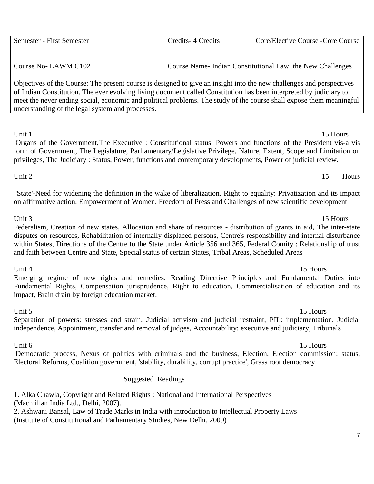# 7

Unit 1 15 Hours Organs of the Government,The Executive : Constitutional status, Powers and functions of the President vis-a vis form of Government, The Legislature, Parliamentary/Legislative Privilege, Nature, Extent, Scope and Limitation on privileges, The Judiciary : Status, Power, functions and contemporary developments, Power of judicial review.

'State'-Need for widening the definition in the wake of liberalization. Right to equality: Privatization and its impact on affirmative action. Empowerment of Women, Freedom of Press and Challenges of new scientific development

# Unit 3 15 Hours Federalism, Creation of new states, Allocation and share of resources - distribution of grants in aid, The inter-state disputes on resources, Rehabilitation of internally displaced persons, Centre's responsibility and internal disturbance within States, Directions of the Centre to the State under Article 356 and 365, Federal Comity : Relationship of trust and faith between Centre and State, Special status of certain States, Tribal Areas, Scheduled Areas

Unit 4 15 Hours Emerging regime of new rights and remedies, Reading Directive Principles and Fundamental Duties into Fundamental Rights, Compensation jurisprudence, Right to education, Commercialisation of education and its impact, Brain drain by foreign education market.

Unit 5 15 Hours Separation of powers: stresses and strain, Judicial activism and judicial restraint, PIL: implementation, Judicial independence, Appointment, transfer and removal of judges, Accountability: executive and judiciary, Tribunals

Democratic process, Nexus of politics with criminals and the business, Election, Election commission: status, Electoral Reforms, Coalition government, 'stability, durability, corrupt practice', Grass root democracy

# Suggested Readings

1. Alka Chawla, Copyright and Related Rights : National and International Perspectives (Macmillan India Ltd., Delhi, 2007). 2. Ashwani Bansal, Law of Trade Marks in India with introduction to Intellectual Property Laws

(Institute of Constitutional and Parliamentary Studies, New Delhi, 2009)

Course No- LAWM C102 Course Name- Indian Constitutional Law: the New Challenges

Objectives of the Course: The present course is designed to give an insight into the new challenges and perspectives of Indian Constitution. The ever evolving living document called Constitution has been interpreted by judiciary to meet the never ending social, economic and political problems. The study of the course shall expose them meaningful understanding of the legal system and processes.

Unit  $2 \qquad \qquad$  15 Hours

# Unit 6 15 Hours

Semester - First Semester Credits- 4 Credits Core/Elective Course -Core Course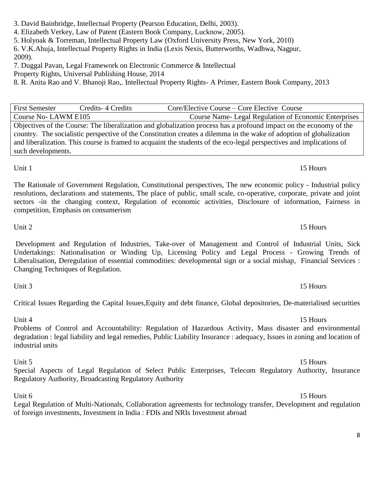3. David Bainbridge, Intellectual Property (Pearson Education, Delhi, 2003).

4. Elizabeth Verkey, Law of Patent (Eastern Book Company, Lucknow, 2005).

5. Holyoak & Torreman, Intellectual Property Law (Oxford University Press, New York, 2010)

6. V.K.Ahuja, Intellectual Property Rights in India (Lexis Nexis, Butterworths, Wadhwa, Nagpur, 2009).

7. Duggal Pavan, Legal Framework on Electronic Commerce & Intellectual

Property Rights, Universal Publishing House, 2014

8. R. Anita Rao and V. Bhanoji Rao,. Intellectual Property Rights- A Primer, Eastern Book Company, 2013

First Semester Credits- 4 Credits Core/Elective Course – Core Elective Course Course No- LAWM E105 Course Name- Legal Regulation of Economic Enterprises Objectives of the Course: The liberalization and globalization process has a profound impact on the economy of the country. The socialistic perspective of the Constitution creates a dilemma in the wake of adoption of globalization and liberalization. This course is framed to acquaint the students of the eco-legal perspectives and implications of such developments.

The Rationale of Government Regulation, Constitutional perspectives, The new economic policy - Industrial policy resolutions, declarations and statements, The place of public, small scale, co-operative, corporate, private and joint sectors -in the changing context, Regulation of economic activities, Disclosure of information, Fairness in competition, Emphasis on consumerism

Unit 1 15 Hours

Unit 2 15 Hours

Unit 3 15 Hours

Development and Regulation of Industries, Take-over of Management and Control of Industrial Units, Sick Undertakings: Nationalisation or Winding Up, Licensing Policy and Legal Process - Growing Trends of Liberalisation, Deregulation of essential commodities: developmental sign or a social mishap, Financial Services : Changing Techniques of Regulation.

Critical Issues Regarding the Capital Issues,Equity and debt finance, Global depositories, De-materialised securities

Unit 4 15 Hours Problems of Control and Accountability: Regulation of Hazardous Activity, Mass disaster and environmental degradation : legal liability and legal remedies, Public Liability Insurance : adequacy, Issues in zoning and location of industrial units

Unit 5 15 Hours Special Aspects of Legal Regulation of Select Public Enterprises, Telecom Regulatory Authority, Insurance Regulatory Authority, Broadcasting Regulatory Authority

Unit 6 15 Hours Legal Regulation of Multi-Nationals, Collaboration agreements for technology transfer, Development and regulation of foreign investments, Investment in India : FDIs and NRIs Investment abroad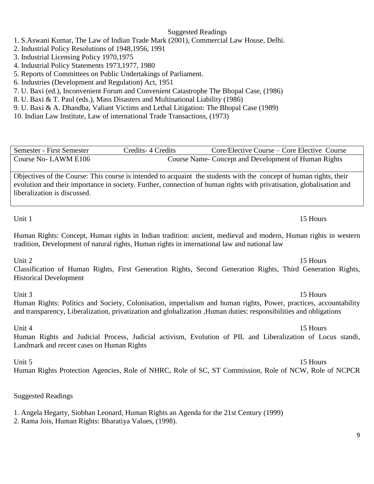### Suggested Readings

1. S.Aswani Kumar, The Law of Indian Trade Mark (2001), Commercial Law House, Delhi.

2. Industrial Policy Resolutions of 1948,1956, 1991

3. Industrial Licensing Policy 1970,1975

4. Industrial Policy Statements 1973,1977, 1980

5. Reports of Committees on Public Undertakings of Parliament.

6. Industries (Development and Regulation) Act, 1951

7. U. Baxi (ed.), Inconvenient Forum and Convenient Catastrophe The Bhopal Case, (1986)

8. U. Baxi & T. Paul (eds.), Mass Disasters and Multinational Liability (1986)

9. U. Baxi & A. Dhandba, Valiant Victims and Lethal Litigation: The Bhopal Case (1989)

10. Indian Law Institute, Law of international Trade Transactions, (1973)

Semester - First Semester Credits- 4 Credits- Core/Elective Course – Core Elective Course Course No- LAWM E106 Course Name- Concept and Development of Human Rights

Objectives of the Course: This course is intended to acquaint the students with the concept of human rights, their evolution and their importance in society. Further, connection of human rights with privatisation, globalisation and liberalization is discussed.

Human Rights: Concept, Human rights in Indian tradition: ancient, medieval and modern, Human rights in western tradition, Development of natural rights, Human rights in international law and national law

Unit 2 15 Hours

Classification of Human Rights, First Generation Rights, Second Generation Rights, Third Generation Rights, Historical Development

Unit 3 15 Hours

Human Rights: Politics and Society, Colonisation, imperialism and human rights, Power, practices, accountability and transparency, Liberalization, privatization and globalization ,Human duties: responsibilities and obligations

Unit 4 15 Hours Human Rights and Judicial Process, Judicial activism, Evolution of PIL and Liberalization of Locus standi,

Landmark and recent cases on Human Rights

Unit 5 15 Hours

Human Rights Protection Agencies, Role of NHRC, Role of SC, ST Commission, Role of NCW, Role of NCPCR

Suggested Readings

1. Angela Hegarty, Siobhan Leonard, Human Rights an Agenda for the 21st Century (1999)

2. Rama Jois, Human Rights: Bharatiya Values, (1998).

# Unit 1 15 Hours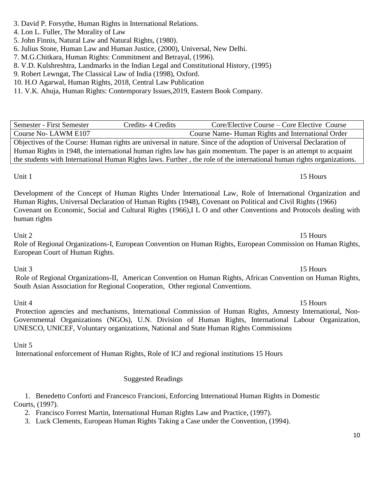# 3. David P. Forsythe, Human Rights in International Relations.

- 4. Lon L. Fuller, The Morality of Law
- 5. John Finnis, Natural Law and Natural Rights, (1980).

6. Julius Stone, Human Law and Human Justice, (2000), Universal, New Delhi.

- 7. M.G.Chitkara, Human Rights: Commitment and Betrayal, (1996).
- 8. V.D. Kulshreshtra, Landmarks in the Indian Legal and Constitutional History, (1995)
- 9. Robert Lewngat, The Classical Law of India (1998), Oxford.
- 10. H.O Agarwal, Human Rights, 2018, Central Law Publication
- 11. V.K. Ahuja, Human Rights: Contemporary Issues,2019, Eastern Book Company.

# Semester - First Semester Credits- 4 Credits- Core/Elective Course – Core Elective Course Course No- LAWM E107 Course Name- Human Rights and International Order Objectives of the Course: Human rights are universal in nature. Since of the adoption of Universal Declaration of Human Rights in 1948, the international human rights law has gain momentum. The paper is an attempt to acquaint the students with International Human Rights laws. Further , the role of the international human rights organizations.

Development of the Concept of Human Rights Under International Law, Role of International Organization and Human Rights, Universal Declaration of Human Rights (1948), Covenant on Political and Civil Rights (1966) Covenant on Economic, Social and Cultural Rights (1966),I L O and other Conventions and Protocols dealing with human rights

# Unit 2 15 Hours

Role of Regional Organizations-I, European Convention on Human Rights, European Commission on Human Rights, European Court of Human Rights.

Role of Regional Organizations-II, American Convention on Human Rights, African Convention on Human Rights, South Asian Association for Regional Cooperation, Other regional Conventions.

Unit 4 15 Hours Protection agencies and mechanisms, International Commission of Human Rights, Amnesty International, Non-Governmental Organizations (NGOs), U.N. Division of Human Rights, International Labour Organization, UNESCO, UNICEF, Voluntary organizations, National and State Human Rights Commissions

# Unit 5

International enforcement of Human Rights, Role of ICJ and regional institutions 15 Hours

# Suggested Readings

1. Benedetto Conforti and Francesco Francioni, Enforcing International Human Rights in Domestic Courts, (1997).

2. Francisco Forrest Martin, International Human Rights Law and Practice, (1997).

3. Luck Clements, European Human Rights Taking a Case under the Convention, (1994).

# Unit 1 15 Hours

# Unit 3 15 Hours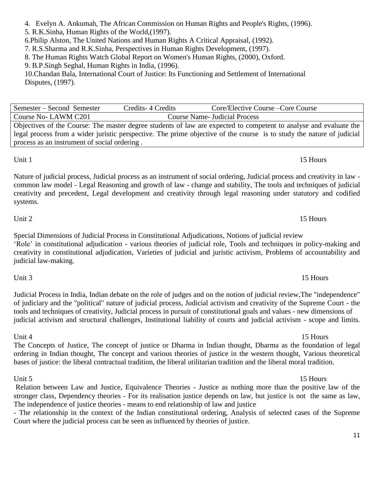# bases of justice: the liberal contractual tradition, the liberal utilitarian tradition and the liberal moral tradition.

### Unit 5 15 Hours Relation between Law and Justice, Equivalence Theories - Justice as nothing more than the positive law of the stronger class, Dependency theories - For its realisation justice depends on law, but justice is not the same as law, The independence of justice theories - means to end relationship of law and justice

- The relationship in the context of the Indian constitutional ordering, Analysis of selected cases of the Supreme Court where the judicial process can be seen as influenced by theories of justice.

Unit 1 15 Hours Nature of judicial process, Judicial process as an instrument of social ordering, Judicial process and creativity in law common law model - Legal Reasoning and growth of law - change and stability, The tools and techniques of judicial creativity and precedent, Legal development and creativity through legal reasoning under statutory and codified systems.

'Role' in constitutional adjudication - various theories of judicial role, Tools and techniques in policy-making and creativity in constitutional adjudication, Varieties of judicial and juristic activism, Problems of accountability and

of judiciary and the "political" nature of judicial process, Judicial activism and creativity of the Supreme Court - the tools and techniques of creativity, Judicial process in pursuit of constitutional goals and values - new dimensions of judicial activism and structural challenges, Institutional liability of courts and judicial activism - scope and limits.

Objectives of the Course: The master degree students of law are expected to competent to analyse and evaluate the legal process from a wider juristic perspective. The prime objective of the course is to study the nature of judicial

Course No- LAWM C201 Course Name- Judicial Process

10.Chandan Bala, International Court of Justice: Its Functioning and Settlement of International

4. Evelyn A. Ankumah, The African Commission on Human Rights and People's Rights, (1996).

5. R.K.Sinha, Human Rights of the World,(1997).

6.Philip Alston, The United Nations and Human Rights A Critical Appraisal, (1992).

7. R.S.Sharma and R.K.Sinha, Perspectives in Human Rights Development, (1997).

8. The Human Rights Watch Global Report on Women's Human Rights, (2000), Oxford.

9. B.P.Singh Seghal, Human Rights in India, (1996).

process as an instrument of social ordering .

Disputes, (1997).

Semester – Second Semester Credits- 4 Credits Core/Elective Course –Core Course

Unit 2 15 Hours

# Unit 3 15 Hours

### Unit 4 15 Hours The Concepts of Justice, The concept of justice or Dharma in Indian thought, Dharma as the foundation of legal

# ordering in Indian thought, The concept and various theories of justice in the western thought, Various theoretical

# Special Dimensions of Judicial Process in Constitutional Adjudications, Notions of judicial review

judicial law-making.

# Judicial Process in India, Indian debate on the role of judges and on the notion of judicial review,The "independence"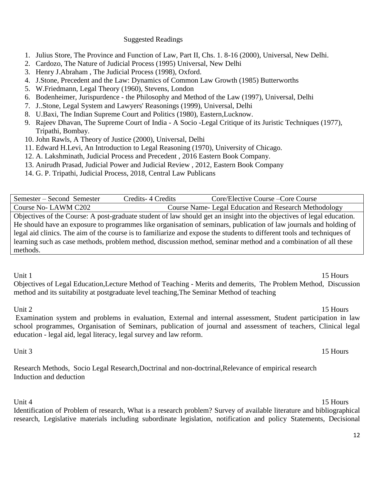# Suggested Readings

- 1. Julius Store, The Province and Function of Law, Part II, Chs. 1. 8-16 (2000), Universal, New Delhi.
- 2. Cardozo, The Nature of Judicial Process (1995) Universal, New Delhi
- 3. Henry J.Abraham , The Judicial Process (1998), Oxford.
- 4. J.Stone, Precedent and the Law: Dynamics of Common Law Growth (1985) Butterworths
- 5. W.Friedmann, Legal Theory (1960), Stevens, London
- 6. Bodenheimer, Jurispurdence the Philosophy and Method of the Law (1997), Universal, Delhi
- 7. J..Stone, Legal System and Lawyers' Reasonings (1999), Universal, Delhi
- 8. U.Baxi, The Indian Supreme Court and Politics (1980), Eastern,Lucknow.
- 9. Rajeev Dhavan, The Supreme Court of India A Socio -Legal Critique of its Juristic Techniques (1977), Tripathi, Bombay.
- 10. John Rawls, A Theory of Justice (2000), Universal, Delhi
- 11. Edward H.Levi, An Introduction to Legal Reasoning (1970), University of Chicago.
- 12. A. Lakshminath, [Judicial Process and Precedent ,](https://www.ebcwebstore.com/product_info.php?products_id=866) 2016 Eastern Book Company.
- 13. Anirudh Prasad, [Judicial Power and Judicial Review ,](https://www.ebcwebstore.com/product_info.php?products_id=4180) 2012, Eastern Book Company
- 14. G. P. Tripathi, Judicial Process, 2018, Central Law Publicans

Semester – Second Semester Credits- 4 Credits Core/Elective Course –Core Course Course No- LAWM C202 Course Name- Legal Education and Research Methodology Objectives of the Course: A post-graduate student of law should get an insight into the objectives of legal education. He should have an exposure to programmes like organisation of seminars, publication of law journals and holding of legal aid clinics. The aim of the course is to familiarize and expose the students to different tools and techniques of learning such as case methods, problem method, discussion method, seminar method and a combination of all these methods.

Objectives of Legal Education,Lecture Method of Teaching - Merits and demerits, The Problem Method, Discussion method and its suitability at postgraduate level teaching,The Seminar Method of teaching

### Unit 2 15 Hours

Examination system and problems in evaluation, External and internal assessment, Student participation in law school programmes, Organisation of Seminars, publication of journal and assessment of teachers, Clinical legal education - legal aid, legal literacy, legal survey and law reform.

## Unit 3 15 Hours

Research Methods, Socio Legal Research,Doctrinal and non-doctrinal,Relevance of empirical research Induction and deduction

Unit 4 15 Hours Identification of Problem of research, What is a research problem? Survey of available literature and bibliographical research, Legislative materials including subordinate legislation, notification and policy Statements, Decisional

Unit 1 15 Hours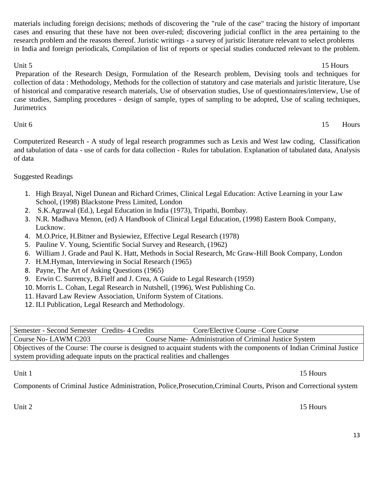materials including foreign decisions; methods of discovering the "rule of the case" tracing the history of important cases and ensuring that these have not been over-ruled; discovering judicial conflict in the area pertaining to the research problem and the reasons thereof. Juristic writings - a survey of juristic literature relevant to select problems in India and foreign periodicals, Compilation of list of reports or special studies conducted relevant to the problem.

Unit 5 15 Hours Preparation of the Research Design, Formulation of the Research problem, Devising tools and techniques for collection of data : Methodology, Methods for the collection of statutory and case materials and juristic literature, Use of historical and comparative research materials, Use of observation studies, Use of questionnaires/interview, Use of case studies, Sampling procedures - design of sample, types of sampling to be adopted, Use of scaling techniques, **Jurimetrics** 

Unit 6 15 Hours

Computerized Research - A study of legal research programmes such as Lexis and West law coding, Classification and tabulation of data - use of cards for data collection - Rules for tabulation. Explanation of tabulated data, Analysis of data

# Suggested Readings

- 1. High Brayal, Nigel Dunean and Richard Crimes, Clinical Legal Education: Active Learning in your Law School, (1998) Blackstone Press Limited, London
- 2. S.K.Agrawal (Ed.), Legal Education in India (1973), Tripathi, Bombay.
- 3. N.R. Madhava Menon, (ed) A Handbook of Clinical Legal Education, (1998) Eastern Book Company, Lucknow.
- 4. M.O.Price, H.Bitner and Bysiewiez, Effective Legal Research (1978)
- 5. Pauline V. Young, Scientific Social Survey and Research, (1962)
- 6. William J. Grade and Paul K. Hatt, Methods in Social Research, Mc Graw-Hill Book Company, London
- 7. H.M.Hyman, Interviewing in Social Research (1965)
- 8. Payne, The Art of Asking Questions (1965)
- 9. Erwin C. Surrency, B.Fielf and J. Crea, A Guide to Legal Research (1959)
- 10. Morris L. Cohan, Legal Research in Nutshell, (1996), West Publishing Co.
- 11. Havard Law Review Association, Uniform System of Citations.
- 12. ILI Publication, Legal Research and Methodology.

| Semester - Second Semester Credits 4 Credits                                                                         | Core/Elective Course – Core Course                    |  |  |  |
|----------------------------------------------------------------------------------------------------------------------|-------------------------------------------------------|--|--|--|
| Course No-LAWM C203                                                                                                  | Course Name-Administration of Criminal Justice System |  |  |  |
| Objectives of the Course: The course is designed to acquaint students with the components of Indian Criminal Justice |                                                       |  |  |  |
| system providing adequate inputs on the practical realities and challenges                                           |                                                       |  |  |  |

Unit 1 15 Hours

Components of Criminal Justice Administration, Police,Prosecution,Criminal Courts, Prison and Correctional system

Unit 2 15 Hours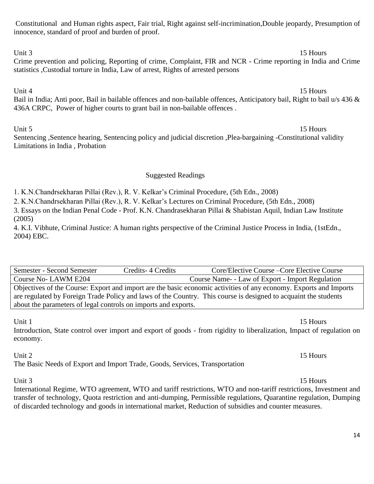Constitutional and Human rights aspect, Fair trial, Right against self-incrimination,Double jeopardy, Presumption of innocence, standard of proof and burden of proof.

Unit 3 15 Hours Crime prevention and policing, Reporting of crime, Complaint, FIR and NCR - Crime reporting in India and Crime statistics ,Custodial torture in India, Law of arrest, Rights of arrested persons

Unit 4 15 Hours Bail in India; Anti poor, Bail in bailable offences and non-bailable offences, Anticipatory bail, Right to bail u/s 436 & 436A CRPC, Power of higher courts to grant bail in non-bailable offences .

Unit 5 15 Hours Sentencing ,Sentence hearing, Sentencing policy and judicial discretion ,Plea-bargaining -Constitutional validity Limitations in India , Probation

# Suggested Readings

1. K.N.Chandrsekharan Pillai (Rev.), R. V. Kelkar's Criminal Procedure, (5th Edn., 2008)

2. K.N.Chandrsekharan Pillai (Rev.), R. V. Kelkar's Lectures on Criminal Procedure, (5th Edn., 2008)

3. Essays on the Indian Penal Code - Prof. K.N. Chandrasekharan Pillai & Shabistan Aquil, Indian Law Institute (2005)

4. K.I. Vibhute, Criminal Justice: A human rights perspective of the Criminal Justice Process in India, (1stEdn., 2004) EBC.

| Semester - Second Semester                                                                                        | Credits 4 Credits | Core/Elective Course – Core Elective Course       |  |  |
|-------------------------------------------------------------------------------------------------------------------|-------------------|---------------------------------------------------|--|--|
| Course No-LAWM E204                                                                                               |                   | Course Name - - Law of Export - Import Regulation |  |  |
| Objectives of the Course: Export and import are the basic economic activities of any economy. Exports and Imports |                   |                                                   |  |  |
| are regulated by Foreign Trade Policy and laws of the Country. This course is designed to acquaint the students   |                   |                                                   |  |  |
| about the parameters of legal controls on imports and exports.                                                    |                   |                                                   |  |  |

Introduction, State control over import and export of goods - from rigidity to liberalization, Impact of regulation on economy.

Unit 2 15 Hours

The Basic Needs of Export and Import Trade, Goods, Services, Transportation

International Regime, WTO agreement, WTO and tariff restrictions, WTO and non-tariff restrictions, Investment and transfer of technology, Quota restriction and anti-dumping, Permissible regulations, Quarantine regulation, Dumping of discarded technology and goods in international market, Reduction of subsidies and counter measures.

Unit 3 15 Hours

Unit 1 15 Hours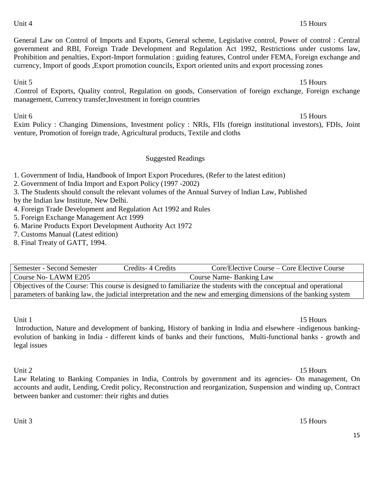Unit 6 15 Hours Exim Policy : Changing Dimensions, Investment policy : NRIs, FIIs (foreign institutional investors), FDIs, Joint venture, Promotion of foreign trade, Agricultural products, Textile and cloths

management, Currency transfer,Investment in foreign countries

### Suggested Readings

General Law on Control of Imports and Exports, General scheme, Legislative control, Power of control : Central government and RBI, Foreign Trade Development and Regulation Act 1992, Restrictions under customs law, Prohibition and penalties, Export-Import formulation : guiding features, Control under FEMA, Foreign exchange and

currency, Import of goods ,Export promotion councils, Export oriented units and export processing zones

1. Government of India, Handbook of Import Export Procedures, (Refer to the latest edition)

2. Government of India Import and Export Policy (1997 -2002)

3. The Students should consult the relevant volumes of the Annual Survey of lndian Law, Published

by the Indian law Institute, New Delhi.

- 4. Foreign Trade Development and Regulation Act 1992 and Rules
- 5. Foreign Exchange Management Act 1999
- 6. Marine Products Export Development Authority Act 1972
- 7. Customs Manual (Latest edition)
- 8. Final Treaty of GATT, 1994.

Semester - Second Semester Credits-4 Credits Core/Elective Course – Core Elective Course Course No- LAWM E205 Course Name- Banking Law Objectives of the Course: This course is designed to familiarize the students with the conceptual and operational parameters of banking law, the judicial interpretation and the new and emerging dimensions of the banking system

Unit 1 15 Hours

Introduction, Nature and development of banking, History of banking in India and elsewhere -indigenous bankingevolution of banking in India - different kinds of banks and their functions, Multi-functional banks - growth and legal issues

Unit 2 15 Hours

Law Relating to Banking Companies in India, Controls by government and its agencies- On management, On accounts and audit, Lending, Credit policy, Reconstruction and reorganization, Suspension and winding up, Contract between banker and customer: their rights and duties

# Unit 3 15 Hours

### 15

### Unit 5 15 Hours .Control of Exports, Quality control, Regulation on goods, Conservation of foreign exchange, Foreign exchange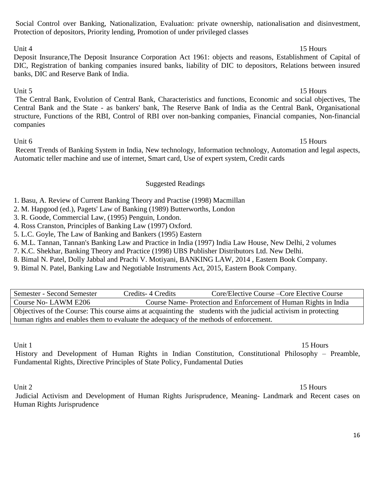# Social Control over Banking, Nationalization, Evaluation: private ownership, nationalisation and disinvestment, Protection of depositors, Priority lending, Promotion of under privileged classes

# Unit 4 15 Hours

Deposit Insurance,The Deposit Insurance Corporation Act 1961: objects and reasons, Establishment of Capital of DIC, Registration of banking companies insured banks, liability of DIC to depositors, Relations between insured banks, DIC and Reserve Bank of India.

Unit 5 15 Hours The Central Bank, Evolution of Central Bank, Characteristics and functions, Economic and social objectives, The Central Bank and the State - as bankers' bank, The Reserve Bank of India as the Central Bank, Organisational structure, Functions of the RBI, Control of RBI over non-banking companies, Financial companies, Non-financial companies

# Unit 6 15 Hours

Recent Trends of Banking System in India, New technology, Information technology, Automation and legal aspects, Automatic teller machine and use of internet, Smart card, Use of expert system, Credit cards

# Suggested Readings

1. Basu, A. Review of Current Banking Theory and Practise (1998) Macmillan

- 2. M. Hapgood (ed.), Pagets' Law of Banking (1989) Butterworths, London
- 3. R. Goode, Commercial Law, (1995) Penguin, London.
- 4. Ross Cranston, Principles of Banking Law (1997) Oxford.
- 5. L.C. Goyle, The Law of Banking and Bankers (1995) Eastern
- 6. M.L. Tannan, Tannan's Banking Law and Practice in India (1997) India Law House, New Delhi, 2 volumes

7. K.C. Shekhar, Banking Theory and Practice (1998) UBS Publisher Distributors Ltd. New Delhi.

- 8. Bimal N. Patel, Dolly Jabbal and Prachi V. Motiyani, BANKING LAW, 2014 , Eastern Book Company.
- 9. Bimal N. Patel, Banking Law and Negotiable Instruments Act, 2015, Eastern Book Company.

Semester - Second Semester Credits- 4 Credits Core/Elective Course –Core Elective Course Course No- LAWM E206 Course Name- Protection and Enforcement of Human Rights in India Objectives of the Course: This course aims at acquainting the students with the judicial activism in protecting human rights and enables them to evaluate the adequacy of the methods of enforcement.

Unit 1 15 Hours

History and Development of Human Rights in Indian Constitution, Constitutional Philosophy – Preamble, Fundamental Rights, Directive Principles of State Policy, Fundamental Duties

# Unit 2 15 Hours

Judicial Activism and Development of Human Rights Jurisprudence, Meaning- Landmark and Recent cases on Human Rights Jurisprudence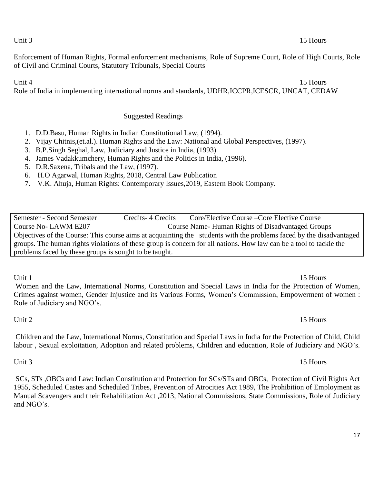17

Unit 3 15 Hours

Enforcement of Human Rights, Formal enforcement mechanisms, Role of Supreme Court, Role of High Courts, Role of Civil and Criminal Courts, Statutory Tribunals, Special Courts

Unit 4 15 Hours Role of India in implementing international norms and standards, UDHR,ICCPR,ICESCR, UNCAT, CEDAW

# Suggested Readings

- 1. D.D.Basu, Human Rights in Indian Constitutional Law, (1994).
- 2. Vijay Chitnis,(et.al.). Human Rights and the Law: National and Global Perspectives, (1997).
- 3. B.P.Singh Seghal, Law, Judiciary and Justice in India, (1993).
- 4. James Vadakkumchery, Human Rights and the Politics in India, (1996).
- 5. D.R.Saxena, Tribals and the Law, (1997).
- 6. H.O Agarwal, Human Rights, 2018, Central Law Publication
- 7. V.K. Ahuja, Human Rights: Contemporary Issues,2019, Eastern Book Company.

Semester - Second Semester Credits- 4 Credits Core/Elective Course –Core Elective Course Course No- LAWM E207 Course Name- Human Rights of Disadvantaged Groups Objectives of the Course: This course aims at acquainting the students with the problems faced by the disadvantaged groups. The human rights violations of these group is concern for all nations. How law can be a tool to tackle the problems faced by these groups is sought to be taught.

Unit 1 15 Hours Women and the Law, International Norms, Constitution and Special Laws in India for the Protection of Women, Crimes against women, Gender Injustice and its Various Forms, Women's Commission, Empowerment of women : Role of Judiciary and NGO's.

Children and the Law, International Norms, Constitution and Special Laws in India for the Protection of Child, Child labour , Sexual exploitation, Adoption and related problems, Children and education, Role of Judiciary and NGO's.

SCs, STs ,OBCs and Law: Indian Constitution and Protection for SCs/STs and OBCs, Protection of Civil Rights Act 1955, Scheduled Castes and Scheduled Tribes, Prevention of Atrocities Act 1989, The Prohibition of Employment as Manual Scavengers and their Rehabilitation Act ,2013, National Commissions, State Commissions, Role of Judiciary and NGO's.

# Unit 3 15 Hours

# Unit 2 15 Hours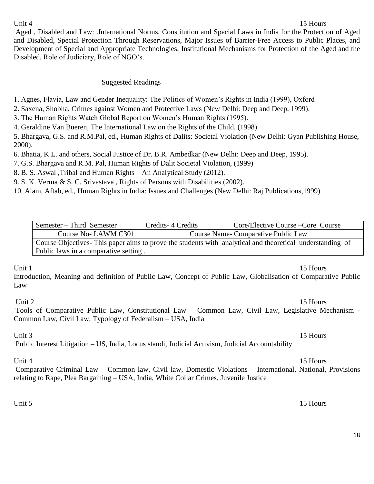## Unit 4 15 Hours

Aged , Disabled and Law: .International Norms, Constitution and Special Laws in India for the Protection of Aged and Disabled, Special Protection Through Reservations, Major Issues of Barrier-Free Access to Public Places, and Development of Special and Appropriate Technologies, Institutional Mechanisms for Protection of the Aged and the Disabled, Role of Judiciary, Role of NGO's.

# Suggested Readings

1. Agnes, Flavia, Law and Gender Inequality: The Politics of Women's Rights in India (1999), Oxford

2. Saxena, Shobha, Crimes against Women and Protective Laws (New Delhi: Deep and Deep, 1999).

3. The Human Rights Watch Global Report on Women's Human Rights (1995).

4. Geraldine Van Bueren, The International Law on the Rights of the Child, (1998)

5. Bhargava, G.S. and R.M.Pal, ed., Human Rights of Dalits: Societal Violation (New Delhi: Gyan Publishing House, 2000).

6. Bhatia, K.L. and others, Social Justice of Dr. B.R. Ambedkar (New Delhi: Deep and Deep, 1995).

7. G.S. Bhargava and R.M. Pal, Human Rights of Dalit Societal Violation, (1999)

8. B. S. Aswal ,Tribal and Human Rights – An Analytical Study (2012).

9. S. K. Verma & S. C. Srivastava , Rights of Persons with Disabilities (2002).

10. Alam, Aftab, ed., Human Rights in India: Issues and Challenges (New Delhi: Raj Publications,1999)

| Semester – Third Semester                                                                                | Credits 4 Credits | Core/Elective Course – Core Course |  |  |
|----------------------------------------------------------------------------------------------------------|-------------------|------------------------------------|--|--|
| Course No-LAWM C301                                                                                      |                   | Course Name-Comparative Public Law |  |  |
| Course Objectives-This paper aims to prove the students with analytical and theoretical understanding of |                   |                                    |  |  |
| Public laws in a comparative setting.                                                                    |                   |                                    |  |  |

# Unit 1 15 Hours

Introduction, Meaning and definition of Public Law, Concept of Public Law, Globalisation of Comparative Public Law

Unit 2 15 Hours

Tools of Comparative Public Law, Constitutional Law – Common Law, Civil Law, Legislative Mechanism - Common Law, Civil Law, Typology of Federalism – USA, India

Unit 3 15 Hours

Public Interest Litigation – US, India, Locus standi, Judicial Activism, Judicial Accountability

# Unit 4 15 Hours

Comparative Criminal Law – Common law, Civil law, Domestic Violations – International, National, Provisions relating to Rape, Plea Bargaining – USA, India, White Collar Crimes, Juvenile Justice

Unit 5 15 Hours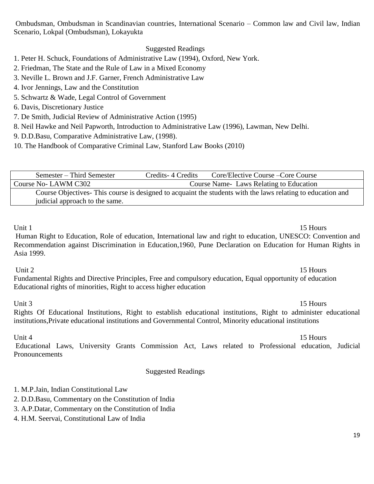Ombudsman, Ombudsman in Scandinavian countries, International Scenario – Common law and Civil law, Indian Scenario, Lokpal (Ombudsman), Lokayukta

# Suggested Readings

1. Peter H. Schuck, Foundations of Administrative Law (1994), Oxford, New York.

2. Friedman, The State and the Rule of Law in a Mixed Economy

- 3. Neville L. Brown and J.F. Garner, French Administrative Law
- 4. Ivor Jennings, Law and the Constitution
- 5. Schwartz & Wade, Legal Control of Government
- 6. Davis, Discretionary Justice
- 7. De Smith, Judicial Review of Administrative Action (1995)
- 8. Neil Hawke and Neil Papworth, Introduction to Administrative Law (1996), Lawman, New Delhi.
- 9. D.D.Basu, Comparative Administrative Law, (1998).
- 10. The Handbook of Comparative Criminal Law, Stanford Law Books (2010)

| Semester – Third Semester                                                                                  | Credits - 4 Credits | Core/Elective Course – Core Course     |  |  |
|------------------------------------------------------------------------------------------------------------|---------------------|----------------------------------------|--|--|
| Course No- LAWM C302                                                                                       |                     | Course Name Laws Relating to Education |  |  |
| Course Objectives-This course is designed to acquaint the students with the laws relating to education and |                     |                                        |  |  |
| judicial approach to the same.                                                                             |                     |                                        |  |  |

Unit 1 15 Hours

Human Right to Education, Role of education, International law and right to education, UNESCO: Convention and Recommendation against Discrimination in Education,1960, Pune Declaration on Education for Human Rights in Asia 1999.

# Unit 2 15 Hours

Fundamental Rights and Directive Principles, Free and compulsory education, Equal opportunity of education Educational rights of minorities, Right to access higher education

Unit 3 15 Hours Rights Of Educational Institutions, Right to establish educational institutions, Right to administer educational institutions,Private educational institutions and Governmental Control, Minority educational institutions

Educational Laws, University Grants Commission Act, Laws related to Professional education, Judicial **Pronouncements** 

# Suggested Readings

- 1. M.P.Jain, Indian Constitutional Law
- 2. D.D.Basu, Commentary on the Constitution of India
- 3. A.P.Datar, Commentary on the Constitution of India
- 4. H.M. Seervai, Constitutional Law of India

### Unit 4 15 Hours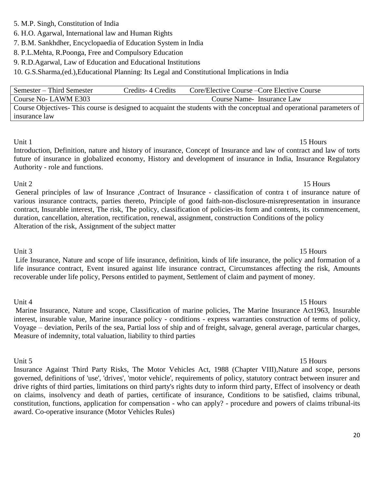- 5. M.P. Singh, Constitution of India
- 6. H.O. Agarwal, International law and Human Rights
- 7. B.M. Sankhdher, Encyclopaedia of Education System in India
- 8. P.L.Mehta, R.Poonga, Free and Compulsory Education
- 9. R.D.Agarwal, Law of Education and Educational Institutions

10. G.S.Sharma,(ed.),Educational Planning: Its Legal and Constitutional Implications in India

| Semester – Third Semester                                                                                              | Credits 4 Credits | Core/Elective Course – Core Elective Course |  |  |
|------------------------------------------------------------------------------------------------------------------------|-------------------|---------------------------------------------|--|--|
| Course No-LAWM E303                                                                                                    |                   | Course Name - Insurance Law                 |  |  |
| Course Objectives - This course is designed to acquaint the students with the conceptual and operational parameters of |                   |                                             |  |  |
| insurance law                                                                                                          |                   |                                             |  |  |

Unit 1 15 Hours Introduction, Definition, nature and history of insurance, Concept of Insurance and law of contract and law of torts future of insurance in globalized economy, History and development of insurance in India, Insurance Regulatory Authority - role and functions.

# Unit 2 15 Hours General principles of law of Insurance ,Contract of Insurance - classification of contra t of insurance nature of various insurance contracts, parties thereto, Principle of good faith-non-disclosure-misrepresentation in insurance contract, Insurable interest, The risk, The policy, classification of policies-its form and contents, its commencement, duration, cancellation, alteration, rectification, renewal, assignment, construction Conditions of the policy Alteration of the risk, Assignment of the subject matter

Unit 3 15 Hours Life Insurance, Nature and scope of life insurance, definition, kinds of life insurance, the policy and formation of a life insurance contract, Event insured against life insurance contract, Circumstances affecting the risk, Amounts recoverable under life policy, Persons entitled to payment, Settlement of claim and payment of money.

### Unit 4 15 Hours

Marine Insurance, Nature and scope, Classification of marine policies, The Marine Insurance Act1963, Insurable interest, insurable value, Marine insurance policy - conditions - express warranties construction of terms of policy, Voyage – deviation, Perils of the sea, Partial loss of ship and of freight, salvage, general average, particular charges, Measure of indemnity, total valuation, liability to third parties

Unit 5 15 Hours Insurance Against Third Party Risks, The Motor Vehicles Act, 1988 (Chapter VIII),Nature and scope, persons governed, definitions of 'use', 'drives', 'motor vehicle', requirements of policy, statutory contract between insurer and drive rights of third parties, limitations on third party's rights duty to inform third party, Effect of insolvency or death on claims, insolvency and death of parties, certificate of insurance, Conditions to be satisfied, claims tribunal, constitution, functions, application for compensation - who can apply? - procedure and powers of claims tribunal-its award. Co-operative insurance (Motor Vehicles Rules)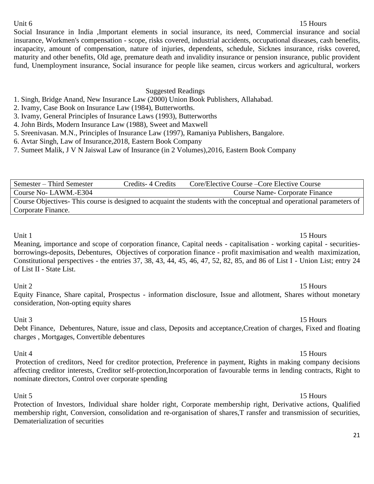## Unit 6 15 Hours

Social Insurance in India ,Important elements in social insurance, its need, Commercial insurance and social insurance, Workmen's compensation - scope, risks covered, industrial accidents, occupational diseases, cash benefits, incapacity, amount of compensation, nature of injuries, dependents, schedule, Sicknes insurance, risks covered, maturity and other benefits, Old age, premature death and invalidity insurance or pension insurance, public provident fund, Unemployment insurance, Social insurance for people like seamen, circus workers and agricultural, workers

### Suggested Readings

- 1. Singh, Bridge Anand, New Insurance Law (2000) Union Book Publishers, Allahabad.
- 2. Ivamy, Case Book on Insurance Law (1984), Butterworths.
- 3. Ivamy, General Principles of Insurance Laws (1993), Butterworths
- 4. John Birds, Modern Insurance Law (1988), Sweet and Maxwell
- 5. Sreenivasan. M.N., Principles of Insurance Law (1997), Ramaniya Publishers, Bangalore.
- 6. Avtar Singh, Law of Insurance,2018, Eastern Book Company
- 7. Sumeet Malik, J V N Jaiswal Law of Insurance (in 2 Volumes),2016, Eastern Book Company

Semester – Third Semester Credits-4 Credits Core/Elective Course – Core Elective Course Course No- LAWM.-E304 Course Name- Corporate Finance Course Objectives- This course is designed to acquaint the students with the conceptual and operational parameters of Corporate Finance.

### Unit 1 15 Hours

Meaning, importance and scope of corporation finance, Capital needs - capitalisation - working capital - securitiesborrowings-deposits, Debentures, Objectives of corporation finance - profit maximisation and wealth maximization, Constitutional perspectives - the entries 37, 38, 43, 44, 45, 46, 47, 52, 82, 85, and 86 of List I - Union List; entry 24 of List II - State List.

### Unit 2 15 Hours

Equity Finance, Share capital, Prospectus - information disclosure, Issue and allotment, Shares without monetary consideration, Non-opting equity shares

Unit 3 15 Hours Debt Finance, Debentures, Nature, issue and class, Deposits and acceptance,Creation of charges, Fixed and floating charges , Mortgages, Convertible debentures

Unit 4 15 Hours Protection of creditors, Need for creditor protection, Preference in payment, Rights in making company decisions affecting creditor interests, Creditor self-protection,Incorporation of favourable terms in lending contracts, Right to nominate directors, Control over corporate spending

Unit 5 15 Hours Protection of Investors, Individual share holder right, Corporate membership right, Derivative actions, Qualified membership right, Conversion, consolidation and re-organisation of shares,T ransfer and transmission of securities, Dematerialization of securities

21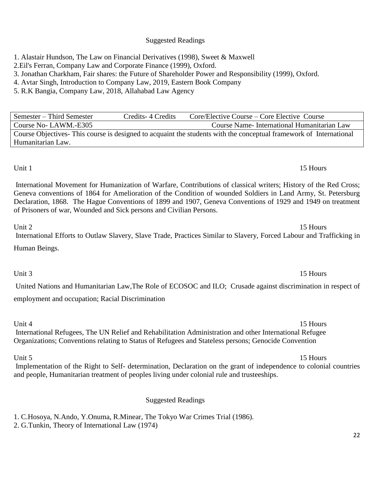# Suggested Readings

1. Alastair Hundson, The Law on Financial Derivatives (1998), Sweet & Maxwell

2.Eil's Ferran, Company Law and Corporate Finance (1999), Oxford.

3. Jonathan Charkham, Fair shares: the Future of Shareholder Power and Responsibility (1999), Oxford.

4. Avtar Singh, Introduction to Company Law, 2019, Eastern Book Company

5. R.K Bangia, Company Law, 2018, Allahabad Law Agency

Semester – Third Semester Credits-4 Credits Core/Elective Course – Core Elective Course Course No- LAWM.-E305 Course Name- International Humanitarian Law Course Objectives- This course is designed to acquaint the students with the conceptual framework of International Humanitarian Law.

# Unit 1 15 Hours

International Movement for Humanization of Warfare, Contributions of classical writers; History of the Red Cross; Geneva conventions of 1864 for Amelioration of the Condition of wounded Soldiers in Land Army, St. Petersburg Declaration, 1868. The Hague Conventions of 1899 and 1907, Geneva Conventions of 1929 and 1949 on treatment of Prisoners of war, Wounded and Sick persons and Civilian Persons.

Unit 2 15 Hours International Efforts to Outlaw Slavery, Slave Trade, Practices Similar to Slavery, Forced Labour and Trafficking in Human Beings.

Unit 3 15 Hours United Nations and Humanitarian Law,The Role of ECOSOC and ILO; Crusade against discrimination in respect of

employment and occupation; Racial Discrimination

Unit 4 15 Hours International Refugees, The UN Relief and Rehabilitation Administration and other International Refugee Organizations; Conventions relating to Status of Refugees and Stateless persons; Genocide Convention

# Unit 5 15 Hours

Implementation of the Right to Self- determination, Declaration on the grant of independence to colonial countries and people, Humanitarian treatment of peoples living under colonial rule and trusteeships.

# Suggested Readings

1. C.Hosoya, N.Ando, Y.Onuma, R.Minear, The Tokyo War Crimes Trial (1986).

2. G.Tunkin, Theory of International Law (1974)

# 22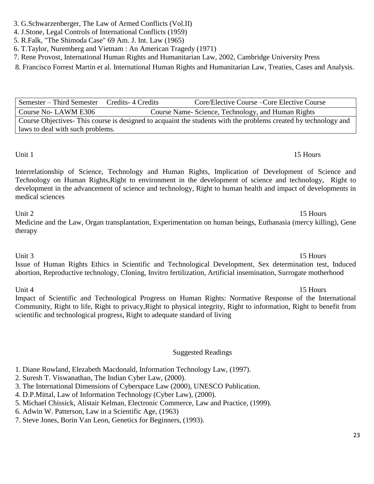# 3. G.Schwarzenberger, The Law of Armed Conflicts (Vol.II)

- 4. J.Stone, Legal Controls of International Conflicts (1959)
- 5. R.Falk, "The Shimoda Case" 69 Am. J. Int. Law (1965)

6. T.Taylor, Nuremberg and Vietnam : An American Tragedy (1971)

7. Rene Provost, International Human Rights and Humanitarian Law, 2002, Cambridge University Press

8. Francisco Forrest Martin et al. International Human Rights and Humanitarian Law, Treaties, Cases and Analysis.

Semester – Third Semester Credits- 4 Credits Core/Elective Course – Core Elective Course Course No- LAWM E306 Course Name- Science, Technology, and Human Rights Course Objectives- This course is designed to acquaint the students with the problems created by technology and laws to deal with such problems.

Interrelationship of Science, Technology and Human Rights, Implication of Development of Science and Technology on Human Rights,Right to environment in the development of science and technology, Right to development in the advancement of science and technology, Right to human health and impact of developments in medical sciences

Unit 2 15 Hours Medicine and the Law, Organ transplantation, Experimentation on human beings, Euthanasia (mercy killing), Gene therapy

Unit 3 15 Hours Issue of Human Rights Ethics in Scientific and Technological Development, Sex determination test, Induced abortion, Reproductive technology, Cloning, Invitro fertilization, Artificial insemination, Surrogate motherhood

Unit 4 15 Hours Impact of Scientific and Technological Progress on Human Rights: Normative Response of the International Community, Right to life, Right to privacy,Right to physical integrity, Right to information, Right to benefit from scientific and technological progress, Right to adequate standard of living

# Suggested Readings

- 1. Diane Rowland, Elezabeth Macdonald, Information Technology Law, (1997).
- 2. Suresh T. Viswanathan, The Indian Cyber Law, (2000).
- 3. The International Dimensions of Cyberspace Law (2000), UNESCO Publication.
- 4. D.P.Mittal, Law of Information Technology (Cyber Law), (2000).
- 5. Michael Chissick, Alistair Kelman, Electronic Commerce, Law and Practice, (1999).
- 6. Adwin W. Patterson, Law in a Scientific Age, (1963)
- 7. Steve Jones, Borin Van Leon, Genetics for Beginners, (1993).

# Unit 1 15 Hours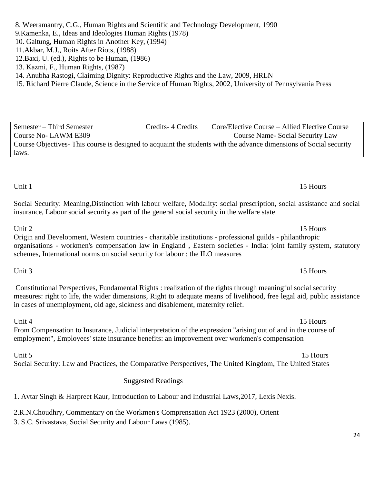# 8. Weeramantry, C.G., Human Rights and Scientific and Technology Development, 1990

- 9.Kamenka, E., Ideas and Ideologies Human Rights (1978)
- 10. Galtung, Human Rights in Another Key, (1994)
- 11.Akbar, M.J., Roits After Riots, (1988)
- 12.Baxi, U. (ed.), Rights to be Human, (1986)
- 13. Kazmi, F., Human Rights, (1987)
- 14. Anubha Rastogi, Claiming Dignity: Reproductive Rights and the Law, 2009, HRLN

15. Richard Pierre Claude, Science in the Service of Human Rights, 2002, [University of Pennsylvania Press](https://books.google.co.in/url?id=guo1GgFMFbAC&pg=PP1&q=http://www.upenn.edu/pennpress&clientid=ca-print-pennpress&linkid=1&usg=AFQjCNFEStxNNKl4pXj1PDPwsZOgE4FafQ&source=gbs_pub_info_r)

Semester – Third Semester Credits- 4 Credits- Core/Elective Course – Allied Elective Course Course No- LAWM E309 Course Name- Social Security Law Course Objectives- This course is designed to acquaint the students with the advance dimensions of Social security laws.

Social Security: Meaning,Distinction with labour welfare, Modality: social prescription, social assistance and social insurance, Labour social security as part of the general social security in the welfare state

Unit 2 15 Hours Origin and Development, Western countries - charitable institutions - professional guilds - philanthropic organisations - workmen's compensation law in England , Eastern societies - India: joint family system, statutory schemes, International norms on social security for labour : the ILO measures

Constitutional Perspectives, Fundamental Rights : realization of the rights through meaningful social security measures: right to life, the wider dimensions, Right to adequate means of livelihood, free legal aid, public assistance in cases of unemployment, old age, sickness and disablement, maternity relief.

Unit 4 15 Hours From Compensation to Insurance, Judicial interpretation of the expression "arising out of and in the course of employment", Employees' state insurance benefits: an improvement over workmen's compensation

Unit 5 15 Hours Social Security: Law and Practices, the Comparative Perspectives, The United Kingdom, The United States

# Suggested Readings

1. Avtar Singh & Harpreet Kaur, [Introduction to Labour and Industrial Laws,](https://www.ebcwebstore.com/product_info.php?products_id=400646)2017, Lexis Nexis.

2.R.N.Choudhry, Commentary on the Workmen's Comprensation Act 1923 (2000), Orient

3. S.C. Srivastava, Social Security and Labour Laws (1985).

# Unit 1 15 Hours

# Unit 3 15 Hours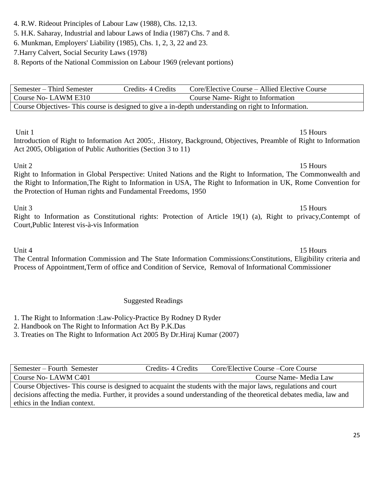# 4. R.W. Rideout Principles of Labour Law (1988), Chs. 12,13.

- 5. H.K. Saharay, Industrial and labour Laws of India (1987) Chs. 7 and 8.
- 6. Munkman, Employers' Liability (1985), Chs. 1, 2, 3, 22 and 23.
- 7.Harry Calvert, Social Security Laws (1978)

8. Reports of the National Commission on Labour 1969 (relevant portions)

| Semester – Third Semester                                                                           | Credits 4 Credits | Core/Elective Course – Allied Elective Course |  |  |
|-----------------------------------------------------------------------------------------------------|-------------------|-----------------------------------------------|--|--|
| Course No-LAWM E310                                                                                 |                   | Course Name-Right to Information              |  |  |
| Course Objectives This course is designed to give a in-depth understanding on right to Information. |                   |                                               |  |  |

# Unit 1 15 Hours

Introduction of Right to Information Act 2005:, .History, Background, Objectives, Preamble of Right to Information Act 2005, Obligation of Public Authorities (Section 3 to 11)

# Unit 2 15 Hours Right to Information in Global Perspective: United Nations and the Right to Information, The Commonwealth and the Right to Information,The Right to Information in USA, The Right to Information in UK, Rome Convention for the Protection of Human rights and Fundamental Freedoms, 1950

Unit 3 15 Hours Right to Information as Constitutional rights: Protection of Article 19(1) (a), Right to privacy,Contempt of Court,Public Interest vis-à-vis Information

Unit 4 15 Hours The Central Information Commission and The State Information Commissions:Constitutions, Eligibility criteria and Process of Appointment,Term of office and Condition of Service, Removal of Informational Commissioner

Suggested Readings

1. The Right to Information :Law-Policy-Practice By Rodney D Ryder

2. Handbook on The Right to Information Act By P.K.Das

3. Treaties on The Right to Information Act 2005 By Dr.Hiraj Kumar (2007)

| Semester – Fourth Semester                                                                                          | Credits - 4 Credits | Core/Elective Course – Core Course |  |  |
|---------------------------------------------------------------------------------------------------------------------|---------------------|------------------------------------|--|--|
| Course No-LAWM C401                                                                                                 |                     | Course Name-Media Law              |  |  |
| Course Objectives- This course is designed to acquaint the students with the major laws, regulations and court      |                     |                                    |  |  |
| decisions affecting the media. Further, it provides a sound understanding of the theoretical debates media, law and |                     |                                    |  |  |
| ethics in the Indian context.                                                                                       |                     |                                    |  |  |
|                                                                                                                     |                     |                                    |  |  |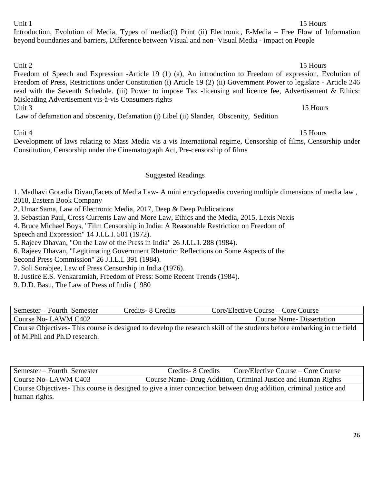# Semester – Fourth Semester Credits- 8 Credits Core/Elective Course – Core Course Course No- LAWM C402 Course Name- Dissertation Course Objectives- This course is designed to develop the research skill of the students before embarking in the field of M.Phil and Ph.D research.

Semester – Fourth Semester Credits- 8 Credits- 8 Credits Core/Elective Course – Core Course Course No- LAWM C403 Course Name- Drug Addition, Criminal Justice and Human Rights Course Objectives- This course is designed to give a inter connection between drug addition, criminal justice and human rights.

Unit 4 15 Hours Development of laws relating to Mass Media vis a vis International regime, Censorship of films, Censorship under Constitution, Censorship under the Cinematograph Act, Pre-censorship of films

Suggested Readings

1. Madhavi Goradia Divan,Facets of Media Law- [A mini encyclopaedia covering multiple dimensions of media law ,](https://www.ebcwebstore.com/product_info.php?products_id=930) 2018, Eastern Book Company

2. Umar Sama, Law of Electronic Media, 2017, Deep & Deep Publications

3. Sebastian Paul, Cross Currents Law and More Law, Ethics and the Media, 2015, Lexis Nexis

4. Bruce Michael Boys, "Film Censorship in India: A Reasonable Restriction on Freedom of

Speech and Expression" 14 J.I.L.I. 501 (1972).

5. Rajeev Dhavan, "On the Law of the Press in India" 26 J.I.L.I. 288 (1984).

6. Rajeev Dhavan, "Legitimating Government Rhetoric: Reflections on Some Aspects of the

Second Press Commission" 26 J.I.L.I. 391 (1984).

7. Soli Sorabjee, Law of Press Censorship in India (1976).

8. Justice E.S. Venkaramiah, Freedom of Press: Some Recent Trends (1984).

9. D.D. Basu, The Law of Press of India (1980

Unit 1 15 Hours

Introduction, Evolution of Media, Types of media:(i) Print (ii) Electronic, E-Media – Free Flow of Information beyond boundaries and barriers, Difference between Visual and non- Visual Media - impact on People

Unit 2 15 Hours Freedom of Speech and Expression -Article 19 (1) (a), An introduction to Freedom of expression, Evolution of Freedom of Press, Restrictions under Constitution (i) Article 19 (2) (ii) Government Power to legislate - Article 246 read with the Seventh Schedule. (iii) Power to impose Tax -licensing and licence fee, Advertisement & Ethics: Misleading Advertisement vis-à-vis Consumers rights Unit 3 15 Hours

Law of defamation and obscenity, Defamation (i) Libel (ii) Slander, Obscenity, Sedition

# 26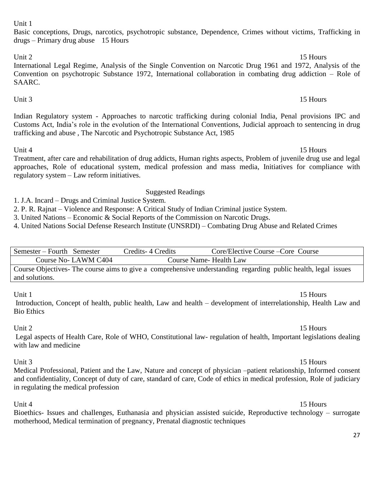# Unit 1

Basic conceptions, Drugs, narcotics, psychotropic substance, Dependence, Crimes without victims, Trafficking in drugs – Primary drug abuse 15 Hours

## Unit 2 15 Hours

International Legal Regime, Analysis of the Single Convention on Narcotic Drug 1961 and 1972, Analysis of the Convention on psychotropic Substance 1972, International collaboration in combating drug addiction – Role of SAARC.

# Indian Regulatory system - Approaches to narcotic trafficking during colonial India, Penal provisions IPC and Customs Act, India's role in the evolution of the International Conventions, Judicial approach to sentencing in drug trafficking and abuse , The Narcotic and Psychotropic Substance Act, 1985

Unit 3 15 Hours

Unit 4 15 Hours Treatment, after care and rehabilitation of drug addicts, Human rights aspects, Problem of juvenile drug use and legal approaches, Role of educational system, medical profession and mass media, Initiatives for compliance with regulatory system – Law reform initiatives.

# Suggested Readings

1. J.A. Incard – Drugs and Criminal Justice System.

2. P. R. Rajnat – Violence and Response: A Critical Study of Indian Criminal justice System.

3. United Nations – Economic & Social Reports of the Commission on Narcotic Drugs.

4. United Nations Social Defense Research Institute (UNSRDI) – Combating Drug Abuse and Related Crimes

| Semester – Fourth Semester |                     | Credits-4 Credits       | Core/Elective Course – Core Course                                                                             |
|----------------------------|---------------------|-------------------------|----------------------------------------------------------------------------------------------------------------|
|                            | Course No-LAWM C404 | Course Name- Health Law |                                                                                                                |
|                            |                     |                         | Course Objectives- The course aims to give a comprehensive understanding regarding public health, legal issues |

Unit 1 15 Hours

and solutions.

Introduction, Concept of health, public health, Law and health – development of interrelationship, Health Law and Bio Ethics

Unit 2 15 Hours Legal aspects of Health Care, Role of WHO, Constitutional law- regulation of health, Important legislations dealing with law and medicine

# Unit 3 15 Hours

Medical Professional, Patient and the Law, Nature and concept of physician –patient relationship, Informed consent and confidentiality, Concept of duty of care, standard of care, Code of ethics in medical profession, Role of judiciary in regulating the medical profession

Unit 4 15 Hours Bioethics- Issues and challenges, Euthanasia and physician assisted suicide, Reproductive technology – surrogate motherhood, Medical termination of pregnancy, Prenatal diagnostic techniques